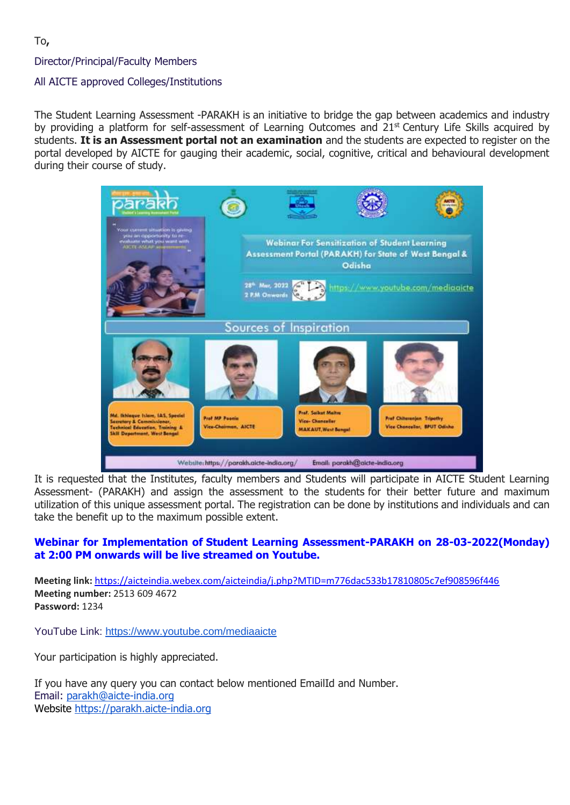Director/Principal/Faculty Members

### All AICTE approved Colleges/Institutions

The Student Learning Assessment -PARAKH is an initiative to bridge the gap between academics and industry by providing a platform for self-assessment of Learning Outcomes and 21<sup>st</sup> Century Life Skills acquired by students. **It is an Assessment portal not an examination** and the students are expected to register on the portal developed by AICTE for gauging their academic, social, cognitive, critical and behavioural development during their course of study.



It is requested that the Institutes, faculty members and Students will participate in AICTE Student Learning Assessment- (PARAKH) and assign the assessment to the students for their better future and maximum utilization of this unique assessment portal. The registration can be done by institutions and individuals and can take the benefit up to the maximum possible extent.

### **Webinar for Implementation of Student Learning Assessment-PARAKH on 28-03-2022(Monday) at 2:00 PM onwards will be live streamed on Youtube.**

**Meeting link:** [https://aicteindia.webex.com/aicteindia/j.php?MTID=m776dac533b17810805c7ef908596f446](https://aicteindia.webex.com/aicteindia/j.php?MTID=m776dac533b17810805c7ef908596f446%20) **Meeting number:** 2513 609 4672 **Password:** 1234

YouTube Link: <https://www.youtube.com/mediaaicte>

Your participation is highly appreciated.

If you have any query you can contact below mentioned EmailId and Number. Email: [parakh@aicte-india.org](mailto:parakh@aicte-india.org) Website [https://parakh.aicte-india.org](https://parakh.aicte-india.org/)